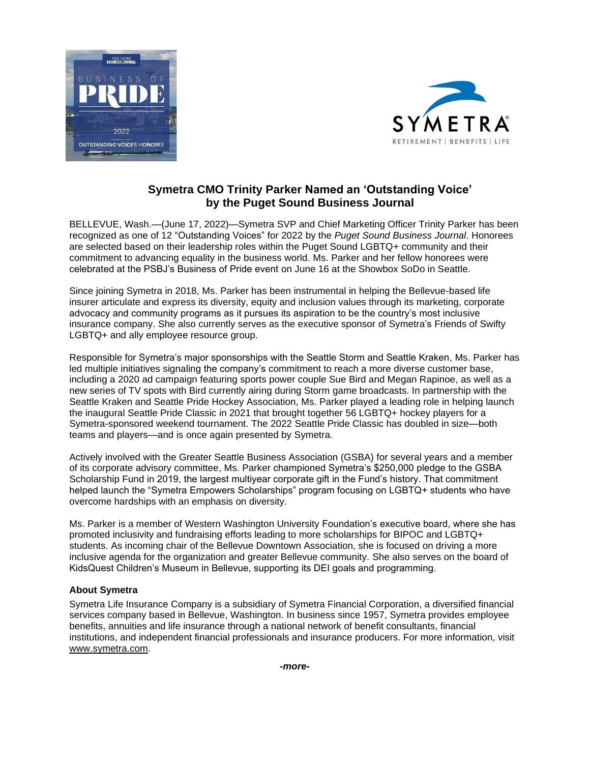



## **Symetra CMO Trinity Parker Named an 'Outstanding Voice' by the Puget Sound Business Journal**

BELLEVUE, Wash.—(June 17, 2022)—Symetra SVP and Chief Marketing Officer Trinity Parker has been recognized as one of 12 "Outstanding Voices" for 2022 by the *Puget Sound Business Journal*. Honorees are selected based on their leadership roles within the Puget Sound LGBTQ+ community and their commitment to advancing equality in the business world. Ms. Parker and her fellow honorees were celebrated at the PSBJ's Business of Pride event on June 16 at the Showbox SoDo in Seattle.

Since joining Symetra in 2018, Ms. Parker has been instrumental in helping the Bellevue-based life insurer articulate and express its diversity, equity and inclusion values through its marketing, corporate advocacy and community programs as it pursues its aspiration to be the country's most inclusive insurance company. She also currently serves as the executive sponsor of Symetra's Friends of Swifty LGBTQ+ and ally employee resource group.

Responsible for Symetra's major sponsorships with the Seattle Storm and Seattle Kraken, Ms. Parker has led multiple initiatives signaling the company's commitment to reach a more diverse customer base, including a 2020 ad campaign featuring sports power couple Sue Bird and Megan Rapinoe, as well as a new series of TV spots with Bird currently airing during Storm game broadcasts. In partnership with the Seattle Kraken and Seattle Pride Hockey Association, Ms. Parker played a leading role in helping launch the inaugural Seattle Pride Classic in 2021 that brought together 56 LGBTQ+ hockey players for a Symetra-sponsored weekend tournament. The 2022 Seattle Pride Classic has doubled in size—both teams and players—and is once again presented by Symetra.

Actively involved with the Greater Seattle Business Association (GSBA) for several years and a member of its corporate advisory committee, Ms. Parker championed Symetra's \$250,000 pledge to the GSBA Scholarship Fund in 2019, the largest multiyear corporate gift in the Fund's history. That commitment helped launch the "Symetra Empowers Scholarships" program focusing on LGBTQ+ students who have overcome hardships with an emphasis on diversity.

Ms. Parker is a member of Western Washington University Foundation's executive board, where she has promoted inclusivity and fundraising efforts leading to more scholarships for BIPOC and LGBTQ+ students. As incoming chair of the Bellevue Downtown Association, she is focused on driving a more inclusive agenda for the organization and greater Bellevue community. She also serves on the board of KidsQuest Children's Museum in Bellevue, supporting its DEI goals and programming.

## **About Symetra**

Symetra Life Insurance Company is a subsidiary of Symetra Financial Corporation, a diversified financial services company based in Bellevue, Washington. In business since 1957, Symetra provides employee benefits, annuities and life insurance through a national network of benefit consultants, financial institutions, and independent financial professionals and insurance producers. For more information, visit [www.symetra.com.](http://www.symetra.com/)